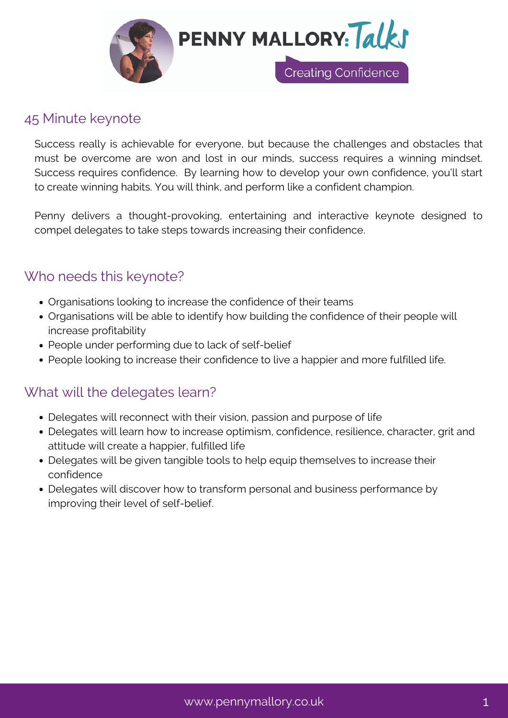

## 45 Minute keynote

Success really is achievable for everyone, but because the challenges and obstacles that must be overcome are won and lost in our minds, success requires a winning mindset. Success requires confidence. By learning how to develop your own confidence, you'll start to create winning habits. You will think, and perform like a confident champion.

Penny delivers a thought-provoking, entertaining and interactive keynote designed to compel delegates to take steps towards increasing their confidence.

# Who needs this keynote?

- Organisations looking to increase the confidence of their teams
- Organisations will be able to identify how building the confidence of their people will increase profitability
- People under performing due to lack of self-belief
- People looking to increase their confidence to live a happier and more fulfilled life.

# What will the delegates learn?

- Delegates will reconnect with their vision, passion and purpose of life
- Delegates will learn how to increase optimism, confidence, resilience, character, grit and attitude will create a happier, fulfilled life
- Delegates will be given tangible tools to help equip themselves to increase their confidence
- Delegates will discover how to transform personal and business performance by improving their level of self-belief.